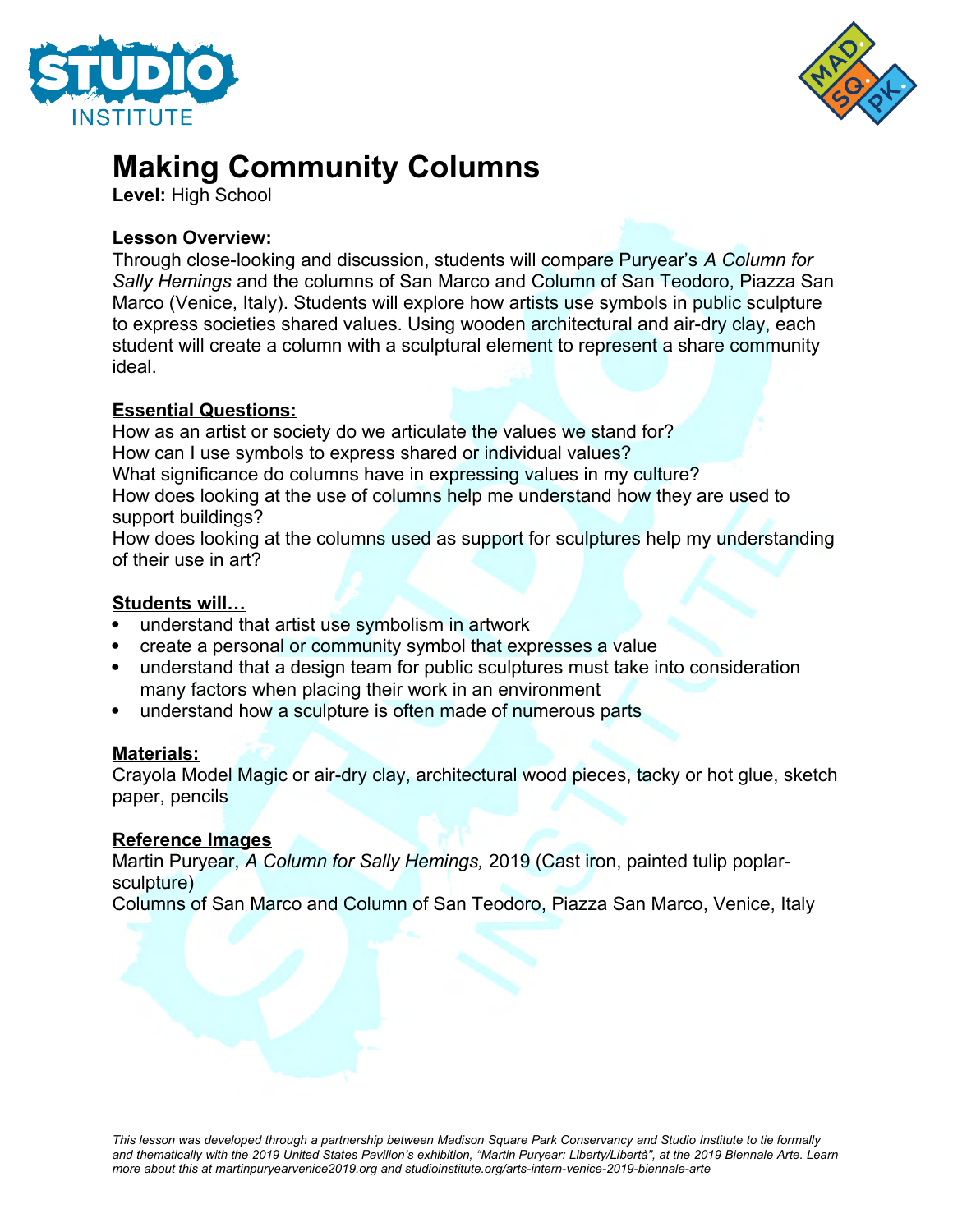



# **Making Community Columns**

**Level:** High School

#### **Lesson Overview:**

Through close-looking and discussion, students will compare Puryear's *A Column for Sally Hemings* and the columns of San Marco and Column of San Teodoro, Piazza San Marco (Venice, Italy). Students will explore how artists use symbols in public sculpture to express societies shared values. Using wooden architectural and air-dry clay, each student will create a column with a sculptural element to represent a share community ideal.

#### **Essential Questions:**

How as an artist or society do we articulate the values we stand for? How can I use symbols to express shared or individual values? What significance do columns have in expressing values in my culture? How does looking at the use of columns help me understand how they are used to support buildings?

How does looking at the columns used as support for sculptures help my understanding of their use in art?

#### **Students will…**

- understand that artist use symbolism in artwork
- create a personal or community symbol that expresses a value
- understand that a design team for public sculptures must take into consideration many factors when placing their work in an environment
- understand how a sculpture is often made of numerous parts

## **Materials:**

Crayola Model Magic or air-dry clay, architectural wood pieces, tacky or hot glue, sketch paper, pencils

#### **Reference Images**

Martin Puryear, *A Column for Sally Hemings,* 2019 (Cast iron, painted tulip poplarsculpture)

Columns of San Marco and Column of San Teodoro, Piazza San Marco, Venice, Italy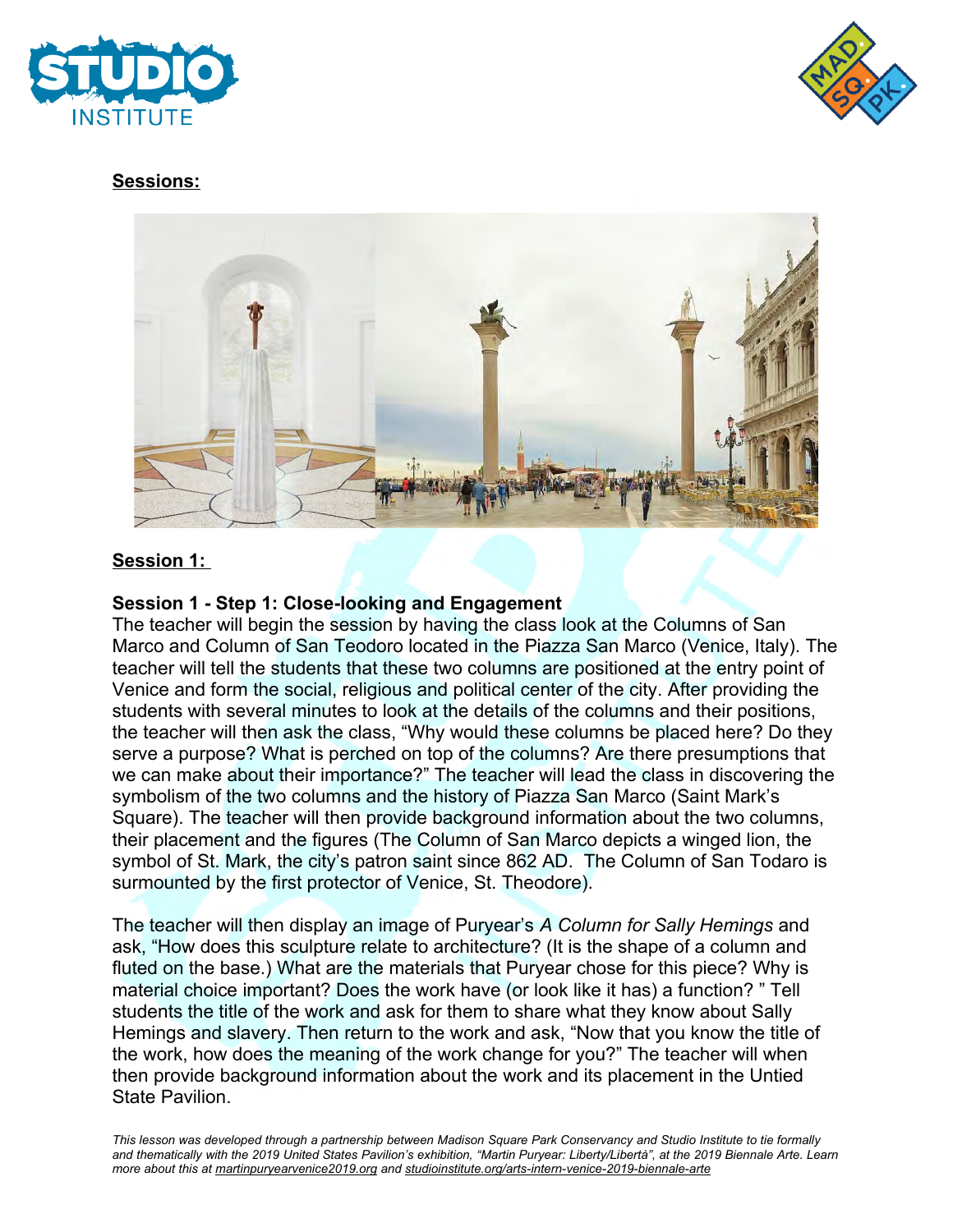



## **Sessions:**



## **Session 1:**

#### **Session 1 - Step 1: Close-looking and Engagement**

The teacher will begin the session by having the class look at the Columns of San Marco and Column of San Teodoro located in the Piazza San Marco (Venice, Italy). The teacher will tell the students that these two columns are positioned at the entry point of Venice and form the social, religious and political center of the city. After providing the students with several minutes to look at the details of the columns and their positions, the teacher will then ask the class, "Why would these columns be placed here? Do they serve a purpose? What is perched on top of the columns? Are there presumptions that we can make about their importance?" The teacher will lead the class in discovering the symbolism of the two columns and the history of Piazza San Marco (Saint Mark's Square). The teacher will then provide background information about the two columns, their placement and the figures (The Column of San Marco depicts a winged lion, the symbol of St. Mark, the city's patron saint since 862 AD. The Column of San Todaro is surmounted by the first protector of Venice, St. Theodore).

The teacher will then display an image of Puryear's *A Column for Sally Hemings* and ask, "How does this sculpture relate to architecture? (It is the shape of a column and fluted on the base.) What are the materials that Puryear chose for this piece? Why is material choice important? Does the work have (or look like it has) a function? " Tell students the title of the work and ask for them to share what they know about Sally Hemings and slavery. Then return to the work and ask, "Now that you know the title of the work, how does the meaning of the work change for you?" The teacher will when then provide background information about the work and its placement in the Untied State Pavilion.

*This lesson was developed through a partnership between Madison Square Park Conservancy and Studio Institute to tie formally and thematically with the 2019 United States Pavilion's exhibition, "Martin Puryear: Liberty/Libertà", at the 2019 Biennale Arte. Learn more about this at martinpuryearvenice2019.org and studioinstitute.org/arts-intern-venice-2019-biennale-arte*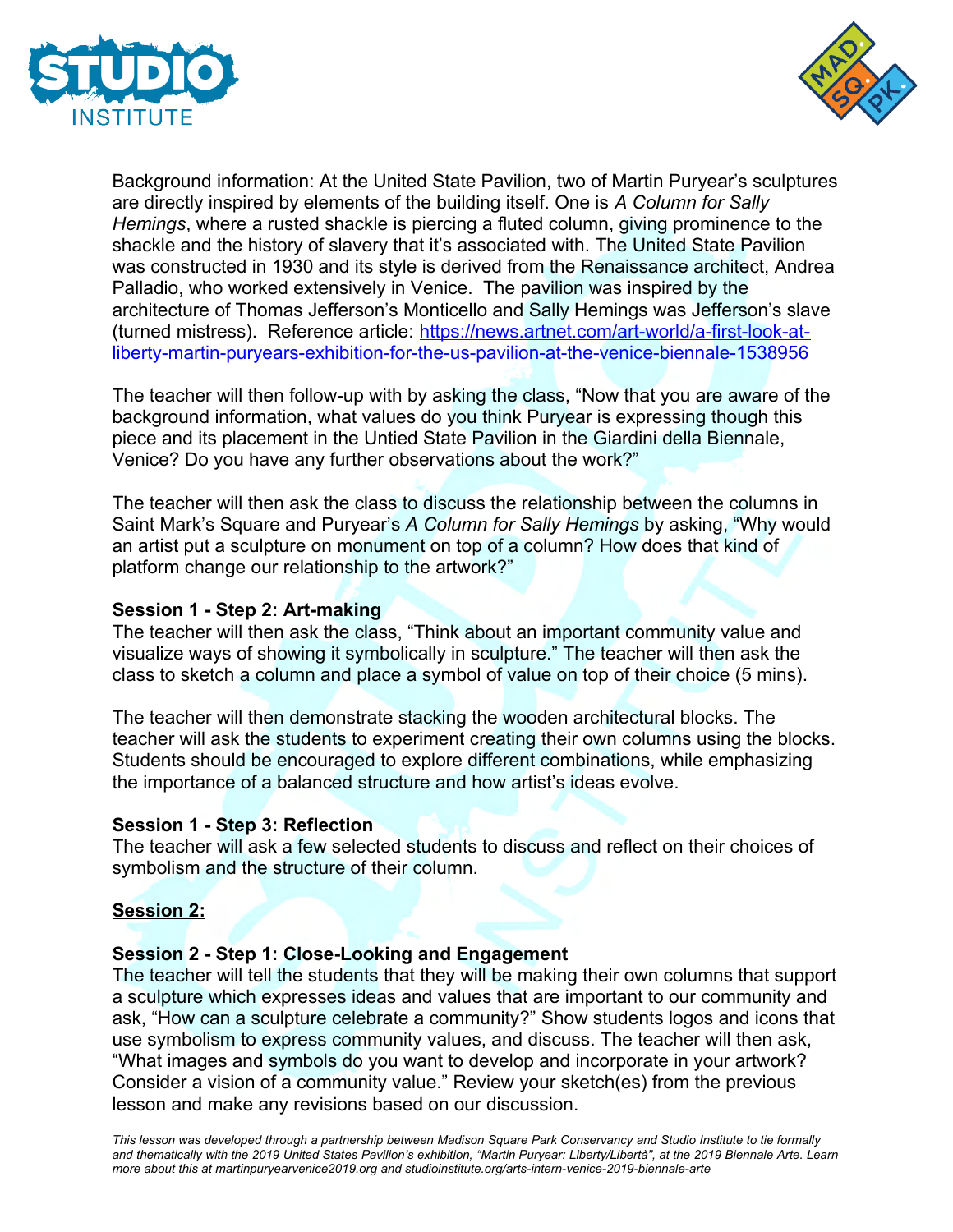



Background information: At the United State Pavilion, two of Martin Puryear's sculptures are directly inspired by elements of the building itself. One is *A Column for Sally Hemings*, where a rusted shackle is piercing a fluted column, giving prominence to the shackle and the history of slavery that it's associated with. The United State Pavilion was constructed in 1930 and its style is derived from the Renaissance architect, Andrea Palladio, who worked extensively in Venice. The pavilion was inspired by the architecture of Thomas Jefferson's Monticello and Sally Hemings was Jefferson's slave (turned mistress). Reference article: [https://news.artnet.com/art-world/a-first-look-at](https://news.artnet.com/art-world/a-first-look-at-liberty-martin-puryears-exhibition-for-the-us-pavilion-at-the-venice-biennale-1538956)[liberty-martin-puryears-exhibition-for-the-us-pavilion-at-the-venice-biennale-1538956](https://news.artnet.com/art-world/a-first-look-at-liberty-martin-puryears-exhibition-for-the-us-pavilion-at-the-venice-biennale-1538956)

The teacher will then follow-up with by asking the class, "Now that you are aware of the background information, what values do you think Puryear is expressing though this piece and its placement in the Untied State Pavilion in the Giardini della Biennale, Venice? Do you have any further observations about the work?"

The teacher will then ask the class to discuss the relationship between the columns in Saint Mark's Square and Puryear's *A Column for Sally Hemings* by asking, "Why would an artist put a sculpture on monument on top of a column? How does that kind of platform change our relationship to the artwork?"

#### **Session 1 - Step 2: Art-making**

The teacher will then ask the class, "Think about an important community value and visualize ways of showing it symbolically in sculpture." The teacher will then ask the class to sketch a column and place a symbol of value on top of their choice (5 mins).

The teacher will then demonstrate stacking the wooden architectural blocks. The teacher will ask the students to experiment creating their own columns using the blocks. Students should be encouraged to explore different combinations, while emphasizing the importance of a balanced structure and how artist's ideas evolve.

#### **Session 1 - Step 3: Reflection**

The teacher will ask a few selected students to discuss and reflect on their choices of symbolism and the structure of their column.

#### **Session 2:**

#### **Session 2 - Step 1: Close-Looking and Engagement**

The teacher will tell the students that they will be making their own columns that support a sculpture which expresses ideas and values that are important to our community and ask, "How can a sculpture celebrate a community?" Show students logos and icons that use symbolism to express community values, and discuss. The teacher will then ask, "What images and symbols do you want to develop and incorporate in your artwork? Consider a vision of a community value." Review your sketch(es) from the previous lesson and make any revisions based on our discussion.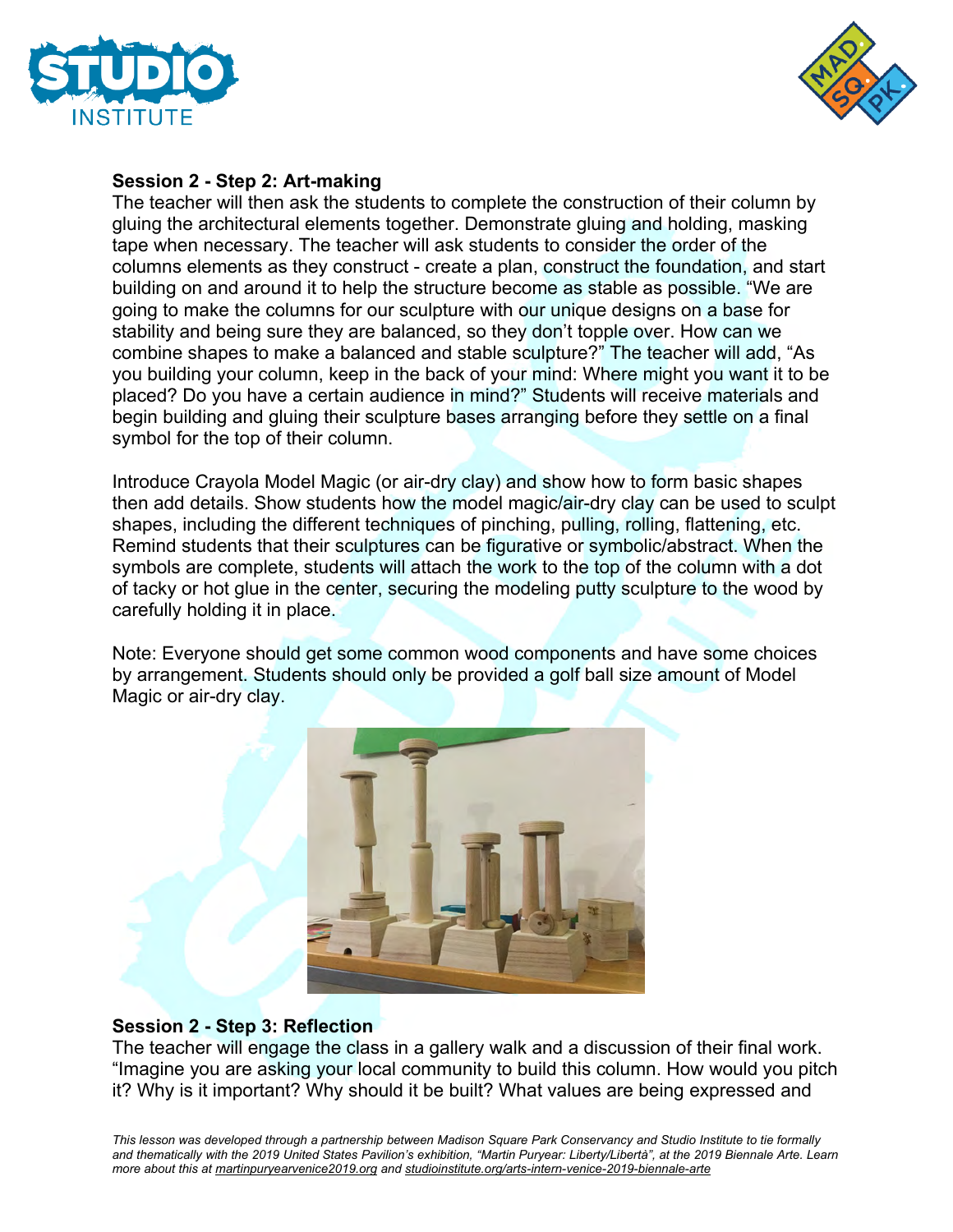



#### **Session 2 - Step 2: Art-making**

The teacher will then ask the students to complete the construction of their column by gluing the architectural elements together. Demonstrate gluing and holding, masking tape when necessary. The teacher will ask students to consider the order of the columns elements as they construct - create a plan, construct the foundation, and start building on and around it to help the structure become as stable as possible. "We are going to make the columns for our sculpture with our unique designs on a base for stability and being sure they are balanced, so they don't topple over. How can we combine shapes to make a balanced and stable sculpture?" The teacher will add, "As you building your column, keep in the back of your mind: Where might you want it to be placed? Do you have a certain audience in mind?" Students will receive materials and begin building and gluing their sculpture bases arranging before they settle on a final symbol for the top of their column.

Introduce Crayola Model Magic (or air-dry clay) and show how to form basic shapes then add details. Show students how the model magic/air-dry clay can be used to sculpt shapes, including the different techniques of pinching, pulling, rolling, flattening, etc. Remind students that their sculptures can be figurative or symbolic/abstract. When the symbols are complete, students will attach the work to the top of the column with a dot of tacky or hot glue in the center, securing the modeling putty sculpture to the wood by carefully holding it in place.

Note: Everyone should get some common wood components and have some choices by arrangement. Students should only be provided a golf ball size amount of Model Magic or air-dry clay.



## **Session 2 - Step 3: Reflection**

The teacher will engage the class in a gallery walk and a discussion of their final work. "Imagine you are asking your local community to build this column. How would you pitch it? Why is it important? Why should it be built? What values are being expressed and